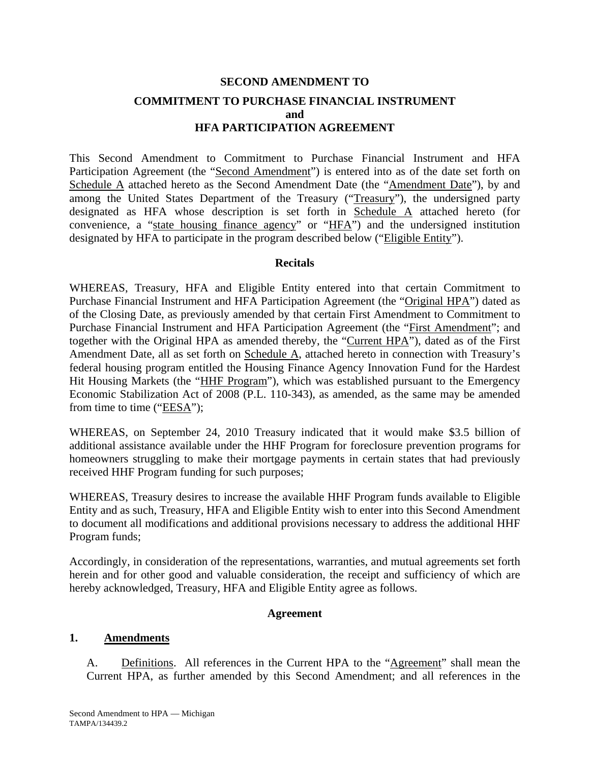# **SECOND AMENDMENT TO COMMITMENT TO PURCHASE FINANCIAL INSTRUMENT and HFA PARTICIPATION AGREEMENT**

This Second Amendment to Commitment to Purchase Financial Instrument and HFA Participation Agreement (the "Second Amendment") is entered into as of the date set forth on Schedule A attached hereto as the Second Amendment Date (the "Amendment Date"), by and among the United States Department of the Treasury ("Treasury"), the undersigned party designated as HFA whose description is set forth in Schedule A attached hereto (for convenience, a "state housing finance agency" or "HFA") and the undersigned institution designated by HFA to participate in the program described below ("Eligible Entity").

#### **Recitals**

WHEREAS, Treasury, HFA and Eligible Entity entered into that certain Commitment to Purchase Financial Instrument and HFA Participation Agreement (the "Original HPA") dated as of the Closing Date, as previously amended by that certain First Amendment to Commitment to Purchase Financial Instrument and HFA Participation Agreement (the "First Amendment"; and together with the Original HPA as amended thereby, the "Current HPA"), dated as of the First Amendment Date, all as set forth on Schedule A, attached hereto in connection with Treasury's federal housing program entitled the Housing Finance Agency Innovation Fund for the Hardest Hit Housing Markets (the "HHF Program"), which was established pursuant to the Emergency Economic Stabilization Act of 2008 (P.L. 110-343), as amended, as the same may be amended from time to time ("EESA");

WHEREAS, on September 24, 2010 Treasury indicated that it would make \$3.5 billion of additional assistance available under the HHF Program for foreclosure prevention programs for homeowners struggling to make their mortgage payments in certain states that had previously received HHF Program funding for such purposes;

WHEREAS, Treasury desires to increase the available HHF Program funds available to Eligible Entity and as such, Treasury, HFA and Eligible Entity wish to enter into this Second Amendment to document all modifications and additional provisions necessary to address the additional HHF Program funds;

Accordingly, in consideration of the representations, warranties, and mutual agreements set forth herein and for other good and valuable consideration, the receipt and sufficiency of which are hereby acknowledged, Treasury, HFA and Eligible Entity agree as follows.

#### **Agreement**

#### **1. Amendments**

A. Definitions. All references in the Current HPA to the "Agreement" shall mean the Current HPA, as further amended by this Second Amendment; and all references in the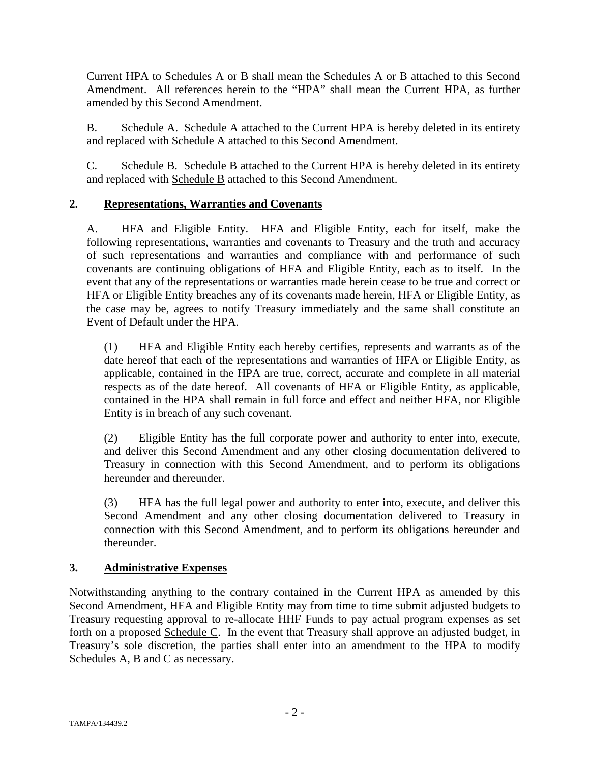Current HPA to Schedules A or B shall mean the Schedules A or B attached to this Second Amendment. All references herein to the "HPA" shall mean the Current HPA, as further amended by this Second Amendment.

B. Schedule A. Schedule A attached to the Current HPA is hereby deleted in its entirety and replaced with Schedule A attached to this Second Amendment.

C. Schedule B. Schedule B attached to the Current HPA is hereby deleted in its entirety and replaced with Schedule B attached to this Second Amendment.

## **2. Representations, Warranties and Covenants**

A. HFA and Eligible Entity. HFA and Eligible Entity, each for itself, make the following representations, warranties and covenants to Treasury and the truth and accuracy of such representations and warranties and compliance with and performance of such covenants are continuing obligations of HFA and Eligible Entity, each as to itself. In the event that any of the representations or warranties made herein cease to be true and correct or HFA or Eligible Entity breaches any of its covenants made herein, HFA or Eligible Entity, as the case may be, agrees to notify Treasury immediately and the same shall constitute an Event of Default under the HPA.

(1) HFA and Eligible Entity each hereby certifies, represents and warrants as of the date hereof that each of the representations and warranties of HFA or Eligible Entity, as applicable, contained in the HPA are true, correct, accurate and complete in all material respects as of the date hereof. All covenants of HFA or Eligible Entity, as applicable, contained in the HPA shall remain in full force and effect and neither HFA, nor Eligible Entity is in breach of any such covenant.

(2) Eligible Entity has the full corporate power and authority to enter into, execute, and deliver this Second Amendment and any other closing documentation delivered to Treasury in connection with this Second Amendment, and to perform its obligations hereunder and thereunder.

(3) HFA has the full legal power and authority to enter into, execute, and deliver this Second Amendment and any other closing documentation delivered to Treasury in connection with this Second Amendment, and to perform its obligations hereunder and thereunder.

## **3. Administrative Expenses**

Notwithstanding anything to the contrary contained in the Current HPA as amended by this Second Amendment, HFA and Eligible Entity may from time to time submit adjusted budgets to Treasury requesting approval to re-allocate HHF Funds to pay actual program expenses as set forth on a proposed Schedule C. In the event that Treasury shall approve an adjusted budget, in Treasury's sole discretion, the parties shall enter into an amendment to the HPA to modify Schedules A, B and C as necessary.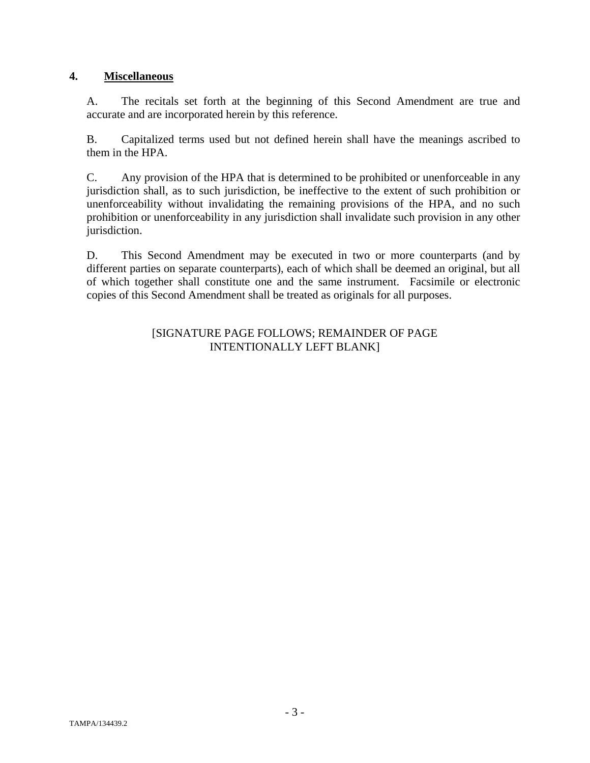## **4. Miscellaneous**

A. The recitals set forth at the beginning of this Second Amendment are true and accurate and are incorporated herein by this reference.

B. Capitalized terms used but not defined herein shall have the meanings ascribed to them in the HPA.

C. Any provision of the HPA that is determined to be prohibited or unenforceable in any jurisdiction shall, as to such jurisdiction, be ineffective to the extent of such prohibition or unenforceability without invalidating the remaining provisions of the HPA, and no such prohibition or unenforceability in any jurisdiction shall invalidate such provision in any other jurisdiction.

D. This Second Amendment may be executed in two or more counterparts (and by different parties on separate counterparts), each of which shall be deemed an original, but all of which together shall constitute one and the same instrument. Facsimile or electronic copies of this Second Amendment shall be treated as originals for all purposes.

#### [SIGNATURE PAGE FOLLOWS; REMAINDER OF PAGE INTENTIONALLY LEFT BLANK]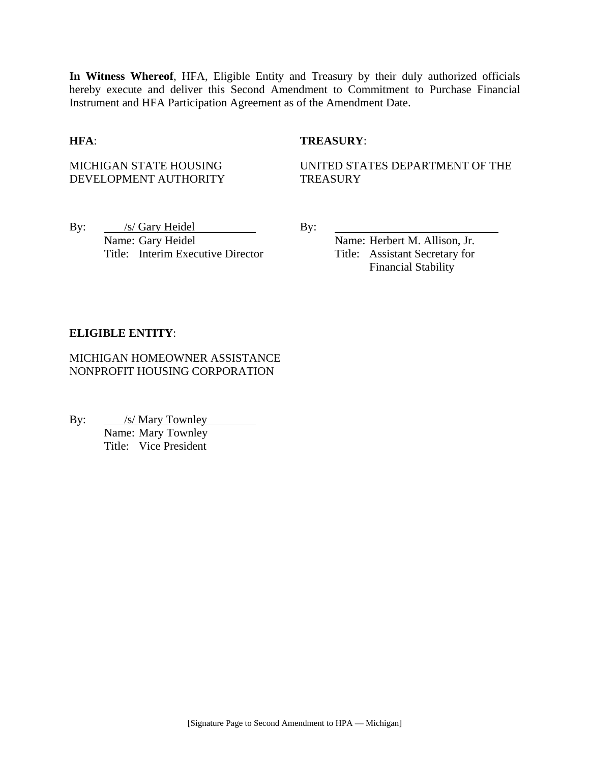**In Witness Whereof**, HFA, Eligible Entity and Treasury by their duly authorized officials hereby execute and deliver this Second Amendment to Commitment to Purchase Financial Instrument and HFA Participation Agreement as of the Amendment Date.

#### **HFA**: **TREASURY**:

MICHIGAN STATE HOUSING DEVELOPMENT AUTHORITY UNITED STATES DEPARTMENT OF THE **TREASURY** 

By: /s/ Gary Heidel By: Name: Gary Heidel Name: Herbert M. Allison, Jr. Title: Interim Executive Director Title: Assistant Secretary for

Financial Stability

#### **ELIGIBLE ENTITY**:

MICHIGAN HOMEOWNER ASSISTANCE NONPROFIT HOUSING CORPORATION

By: <u>/s/ Mary Townley</u> Name: Mary Townley Title: Vice President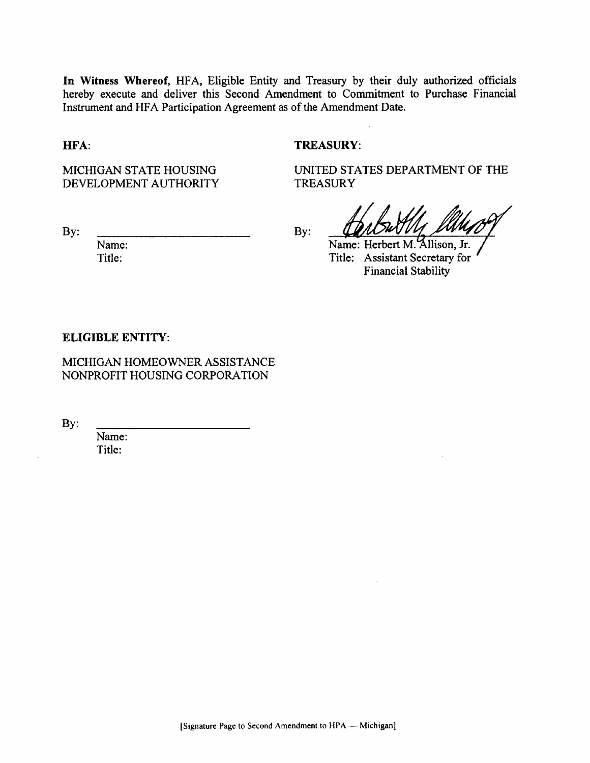In Witness Whereof, HFA, Eligible Entity and Treasury by their duly authorized officials hereby execute and deliver this Second Amendment to Commitment to Purchase Financial Instrument and HFA Participation Agreement as of the Amendment Date.

HFA:

### **TREASURY:**

MICHIGAN STATE HOUSING DEVELOPMENT AUTHORITY UNITED STATES DEPARTMENT OF THE **TREASURY** 

 $By:$ 

Name: Title:

By:

Name: Herbert M. Allison. Jr. Title: Assistant Secretary for **Financial Stability** 

#### **ELIGIBLE ENTITY:**

MICHIGAN HOMEOWNER ASSISTANCE NONPROFIT HOUSING CORPORATION

By:

Name: Title: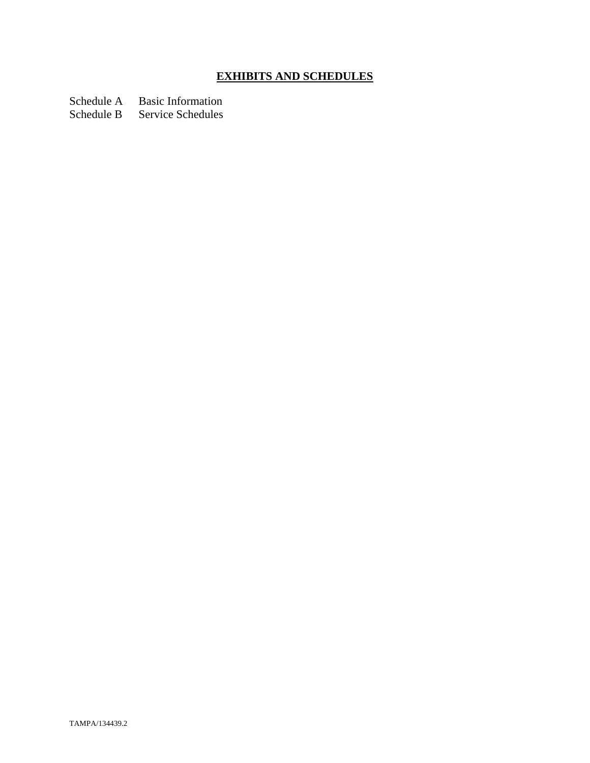# **EXHIBITS AND SCHEDULES**

Schedule A Basic Information<br>Schedule B Service Schedules

Service Schedules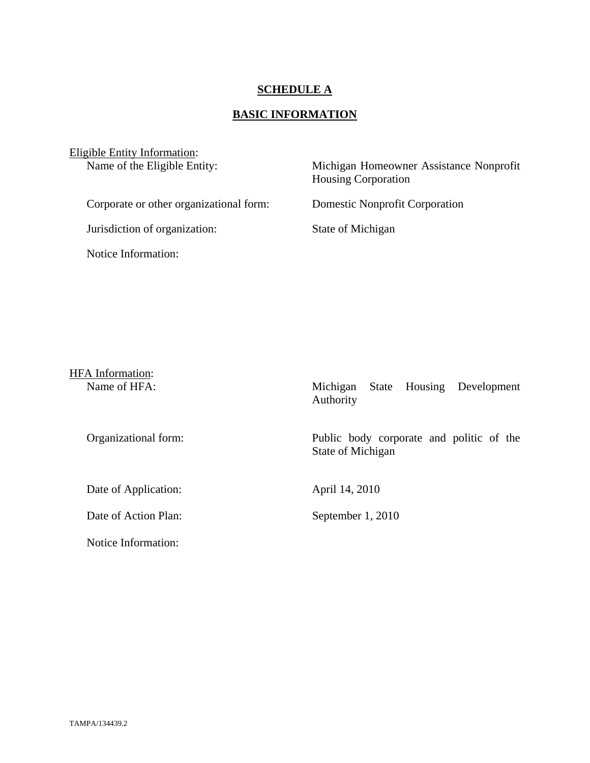### **SCHEDULE A**

## **BASIC INFORMATION**

| Eligible Entity Information:<br>Name of the Eligible Entity: | Michigan Homeowner Assistance Nonprofit<br><b>Housing Corporation</b> |
|--------------------------------------------------------------|-----------------------------------------------------------------------|
| Corporate or other organizational form:                      | <b>Domestic Nonprofit Corporation</b>                                 |
| Jurisdiction of organization:                                | State of Michigan                                                     |
| Notice Information:                                          |                                                                       |

| HFA Information: |
|------------------|
| Name of HFA:     |

Date of Application: April 14, 2010

Date of Action Plan: September 1, 2010

Notice Information:

Michigan State Housing Development Authority

Organizational form: Public body corporate and politic of the State of Michigan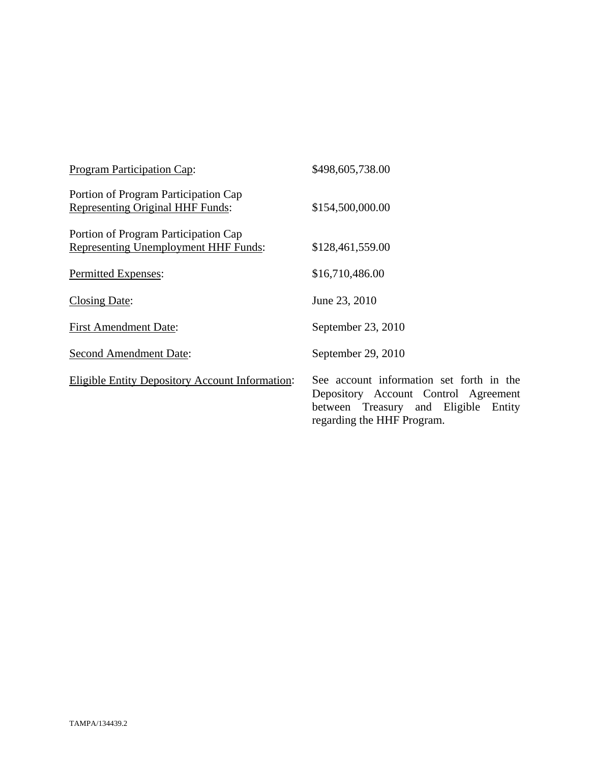| <b>Program Participation Cap:</b>                                                   | \$498,605,738.00                                                                                                                                       |
|-------------------------------------------------------------------------------------|--------------------------------------------------------------------------------------------------------------------------------------------------------|
| Portion of Program Participation Cap<br><b>Representing Original HHF Funds:</b>     | \$154,500,000.00                                                                                                                                       |
| Portion of Program Participation Cap<br><b>Representing Unemployment HHF Funds:</b> | \$128,461,559.00                                                                                                                                       |
| Permitted Expenses:                                                                 | \$16,710,486.00                                                                                                                                        |
| Closing Date:                                                                       | June 23, 2010                                                                                                                                          |
| <b>First Amendment Date:</b>                                                        | September 23, 2010                                                                                                                                     |
| <b>Second Amendment Date:</b>                                                       | September 29, 2010                                                                                                                                     |
| <b>Eligible Entity Depository Account Information:</b>                              | See account information set forth in the<br>Depository Account Control Agreement<br>between Treasury and Eligible Entity<br>regarding the HHF Program. |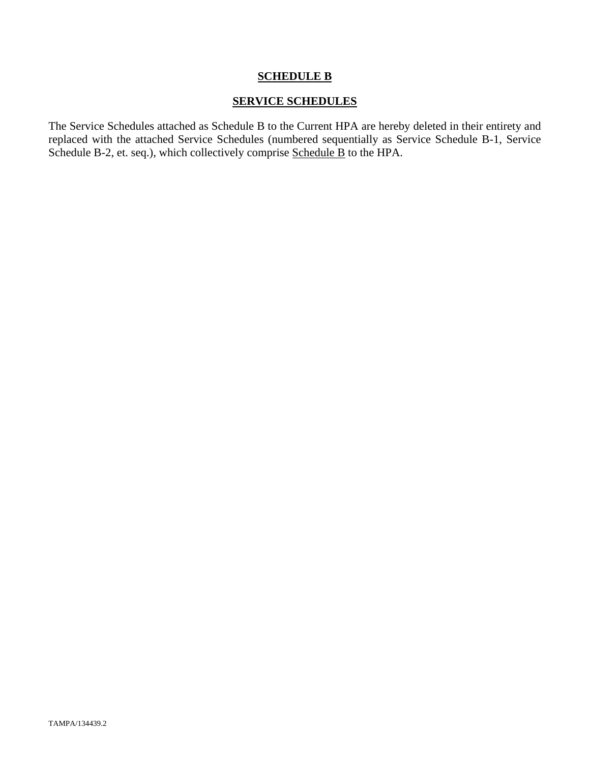## **SCHEDULE B**

### **SERVICE SCHEDULES**

The Service Schedules attached as Schedule B to the Current HPA are hereby deleted in their entirety and replaced with the attached Service Schedules (numbered sequentially as Service Schedule B-1, Service Schedule B-2, et. seq.), which collectively comprise Schedule B to the HPA.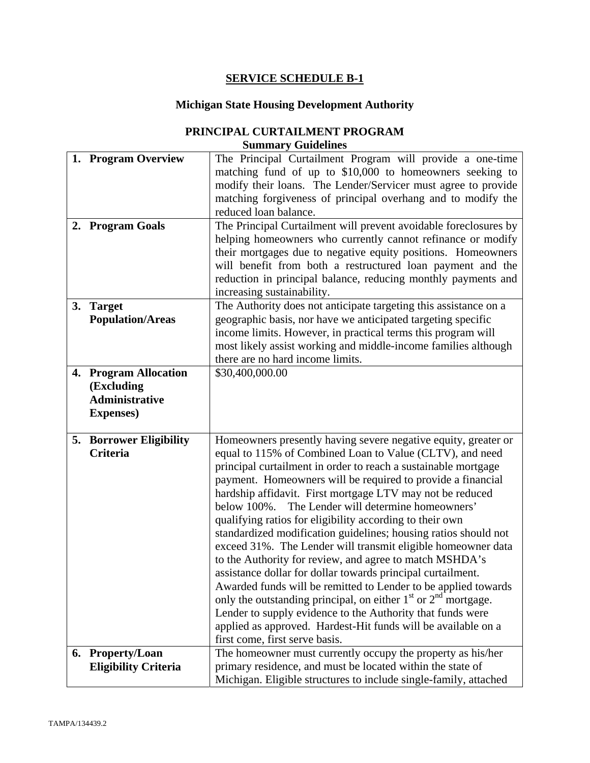## **SERVICE SCHEDULE B-1**

## **Michigan State Housing Development Authority**

| PRINCIPAL CURTAILMENT PROGRAM |
|-------------------------------|
| <b>Summary Guidelines</b>     |

|    | 1. Program Overview            | The Principal Curtailment Program will provide a one-time                                                                      |
|----|--------------------------------|--------------------------------------------------------------------------------------------------------------------------------|
|    |                                | matching fund of up to \$10,000 to homeowners seeking to                                                                       |
|    |                                | modify their loans. The Lender/Servicer must agree to provide                                                                  |
|    |                                | matching forgiveness of principal overhang and to modify the                                                                   |
|    |                                | reduced loan balance.                                                                                                          |
|    |                                |                                                                                                                                |
|    | 2. Program Goals               | The Principal Curtailment will prevent avoidable foreclosures by                                                               |
|    |                                | helping homeowners who currently cannot refinance or modify                                                                    |
|    |                                | their mortgages due to negative equity positions. Homeowners                                                                   |
|    |                                | will benefit from both a restructured loan payment and the                                                                     |
|    |                                | reduction in principal balance, reducing monthly payments and                                                                  |
|    |                                | increasing sustainability.                                                                                                     |
| 3. | <b>Target</b>                  | The Authority does not anticipate targeting this assistance on a                                                               |
|    | <b>Population/Areas</b>        | geographic basis, nor have we anticipated targeting specific                                                                   |
|    |                                | income limits. However, in practical terms this program will                                                                   |
|    |                                | most likely assist working and middle-income families although                                                                 |
|    |                                | there are no hard income limits.                                                                                               |
|    | 4. Program Allocation          | \$30,400,000.00                                                                                                                |
|    | (Excluding                     |                                                                                                                                |
|    | <b>Administrative</b>          |                                                                                                                                |
|    | <b>Expenses</b> )              |                                                                                                                                |
|    |                                |                                                                                                                                |
|    | <b>5. Borrower Eligibility</b> | Homeowners presently having severe negative equity, greater or                                                                 |
|    | <b>Criteria</b>                | equal to 115% of Combined Loan to Value (CLTV), and need                                                                       |
|    |                                | principal curtailment in order to reach a sustainable mortgage                                                                 |
|    |                                | payment. Homeowners will be required to provide a financial                                                                    |
|    |                                |                                                                                                                                |
|    |                                |                                                                                                                                |
|    |                                | hardship affidavit. First mortgage LTV may not be reduced                                                                      |
|    |                                | below 100%. The Lender will determine homeowners'                                                                              |
|    |                                | qualifying ratios for eligibility according to their own                                                                       |
|    |                                | standardized modification guidelines; housing ratios should not                                                                |
|    |                                | exceed 31%. The Lender will transmit eligible homeowner data                                                                   |
|    |                                | to the Authority for review, and agree to match MSHDA's                                                                        |
|    |                                | assistance dollar for dollar towards principal curtailment.                                                                    |
|    |                                | Awarded funds will be remitted to Lender to be applied towards                                                                 |
|    |                                | only the outstanding principal, on either $1st$ or $2nd$ mortgage.                                                             |
|    |                                | Lender to supply evidence to the Authority that funds were                                                                     |
|    |                                | applied as approved. Hardest-Hit funds will be available on a                                                                  |
|    |                                | first come, first serve basis.                                                                                                 |
|    | 6. Property/Loan               | The homeowner must currently occupy the property as his/her                                                                    |
|    | <b>Eligibility Criteria</b>    | primary residence, and must be located within the state of<br>Michigan. Eligible structures to include single-family, attached |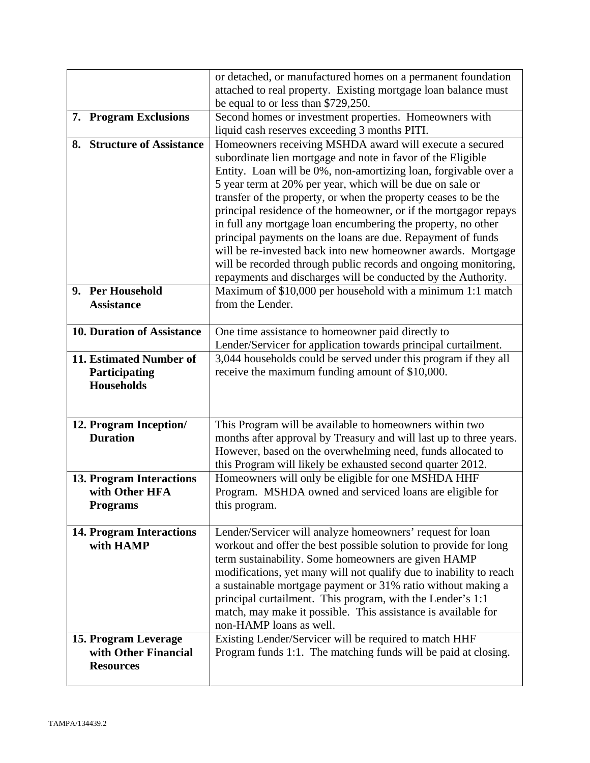|                                            | or detached, or manufactured homes on a permanent foundation<br>attached to real property. Existing mortgage loan balance must     |
|--------------------------------------------|------------------------------------------------------------------------------------------------------------------------------------|
|                                            | be equal to or less than \$729,250.                                                                                                |
| 7. Program Exclusions                      | Second homes or investment properties. Homeowners with                                                                             |
|                                            | liquid cash reserves exceeding 3 months PITI.                                                                                      |
| 8. Structure of Assistance                 | Homeowners receiving MSHDA award will execute a secured                                                                            |
|                                            | subordinate lien mortgage and note in favor of the Eligible<br>Entity. Loan will be 0%, non-amortizing loan, forgivable over a     |
|                                            | 5 year term at 20% per year, which will be due on sale or                                                                          |
|                                            | transfer of the property, or when the property ceases to be the                                                                    |
|                                            | principal residence of the homeowner, or if the mortgagor repays                                                                   |
|                                            | in full any mortgage loan encumbering the property, no other                                                                       |
|                                            | principal payments on the loans are due. Repayment of funds                                                                        |
|                                            | will be re-invested back into new homeowner awards. Mortgage                                                                       |
|                                            | will be recorded through public records and ongoing monitoring,                                                                    |
| 9. Per Household                           | repayments and discharges will be conducted by the Authority.<br>Maximum of \$10,000 per household with a minimum 1:1 match        |
| <b>Assistance</b>                          | from the Lender.                                                                                                                   |
|                                            |                                                                                                                                    |
| 10. Duration of Assistance                 | One time assistance to homeowner paid directly to                                                                                  |
|                                            | Lender/Servicer for application towards principal curtailment.                                                                     |
| 11. Estimated Number of                    | 3,044 households could be served under this program if they all                                                                    |
| Participating                              | receive the maximum funding amount of \$10,000.                                                                                    |
| <b>Households</b>                          |                                                                                                                                    |
|                                            |                                                                                                                                    |
| 12. Program Inception/                     | This Program will be available to homeowners within two                                                                            |
| <b>Duration</b>                            | months after approval by Treasury and will last up to three years.                                                                 |
|                                            | However, based on the overwhelming need, funds allocated to                                                                        |
|                                            | this Program will likely be exhausted second quarter 2012.                                                                         |
| 13. Program Interactions<br>with Other HFA | Homeowners will only be eligible for one MSHDA HHF                                                                                 |
| <b>Programs</b>                            | Program. MSHDA owned and serviced loans are eligible for<br>this program.                                                          |
|                                            |                                                                                                                                    |
| <b>14. Program Interactions</b>            | Lender/Servicer will analyze homeowners' request for loan                                                                          |
| with HAMP                                  | workout and offer the best possible solution to provide for long                                                                   |
|                                            | term sustainability. Some homeowners are given HAMP                                                                                |
|                                            | modifications, yet many will not qualify due to inability to reach<br>a sustainable mortgage payment or 31% ratio without making a |
|                                            | principal curtailment. This program, with the Lender's 1:1                                                                         |
|                                            | match, may make it possible. This assistance is available for                                                                      |
|                                            | non-HAMP loans as well.                                                                                                            |
| 15. Program Leverage                       | Existing Lender/Servicer will be required to match HHF                                                                             |
| with Other Financial                       | Program funds 1:1. The matching funds will be paid at closing.                                                                     |
|                                            |                                                                                                                                    |
| <b>Resources</b>                           |                                                                                                                                    |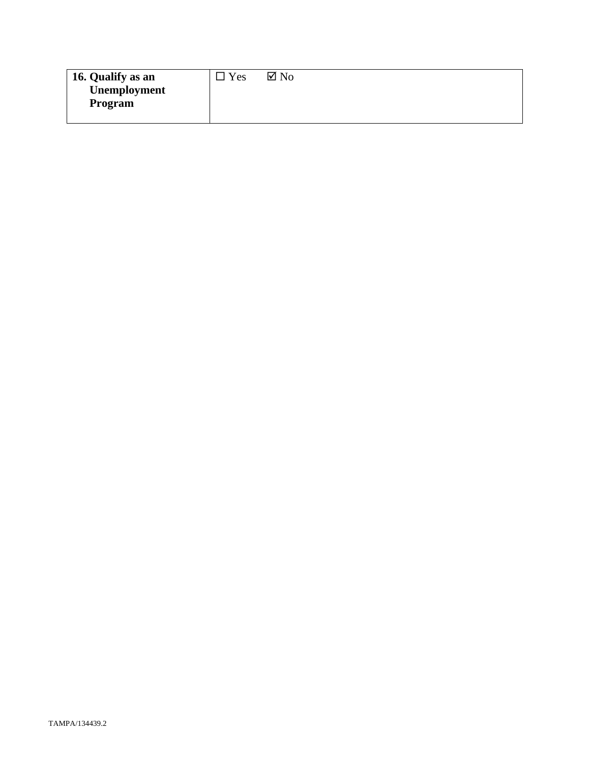| 16. Qualify as an | Yes | $\boxtimes$ No |
|-------------------|-----|----------------|
| Unemployment      |     |                |
| Program           |     |                |
|                   |     |                |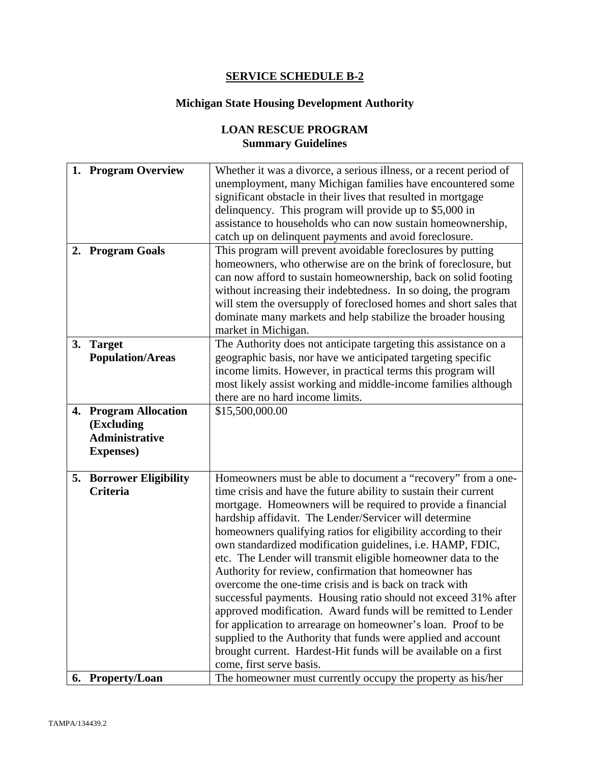## **SERVICE SCHEDULE B-2**

## **Michigan State Housing Development Authority**

# **LOAN RESCUE PROGRAM Summary Guidelines**

| unemployment, many Michigan families have encountered some                              |  |
|-----------------------------------------------------------------------------------------|--|
|                                                                                         |  |
| significant obstacle in their lives that resulted in mortgage                           |  |
| delinquency. This program will provide up to \$5,000 in                                 |  |
| assistance to households who can now sustain homeownership,                             |  |
| catch up on delinquent payments and avoid foreclosure.                                  |  |
| 2. Program Goals<br>This program will prevent avoidable foreclosures by putting         |  |
| homeowners, who otherwise are on the brink of foreclosure, but                          |  |
| can now afford to sustain homeownership, back on solid footing                          |  |
| without increasing their indebtedness. In so doing, the program                         |  |
| will stem the oversupply of foreclosed homes and short sales that                       |  |
| dominate many markets and help stabilize the broader housing                            |  |
| market in Michigan.                                                                     |  |
| 3. Target<br>The Authority does not anticipate targeting this assistance on a           |  |
| geographic basis, nor have we anticipated targeting specific<br><b>Population/Areas</b> |  |
| income limits. However, in practical terms this program will                            |  |
| most likely assist working and middle-income families although                          |  |
| there are no hard income limits.                                                        |  |
| 4. Program Allocation<br>\$15,500,000.00                                                |  |
| (Excluding                                                                              |  |
| <b>Administrative</b>                                                                   |  |
| <b>Expenses</b> )                                                                       |  |
|                                                                                         |  |
| Homeowners must be able to document a "recovery" from a one-<br>5. Borrower Eligibility |  |
| Criteria<br>time crisis and have the future ability to sustain their current            |  |
| mortgage. Homeowners will be required to provide a financial                            |  |
| hardship affidavit. The Lender/Servicer will determine                                  |  |
| homeowners qualifying ratios for eligibility according to their                         |  |
| own standardized modification guidelines, i.e. HAMP, FDIC,                              |  |
| etc. The Lender will transmit eligible homeowner data to the                            |  |
| Authority for review, confirmation that homeowner has                                   |  |
| overcome the one-time crisis and is back on track with                                  |  |
| successful payments. Housing ratio should not exceed 31% after                          |  |
| approved modification. Award funds will be remitted to Lender                           |  |
| for application to arrearage on homeowner's loan. Proof to be                           |  |
| supplied to the Authority that funds were applied and account                           |  |
| brought current. Hardest-Hit funds will be available on a first                         |  |
| come, first serve basis.                                                                |  |
| The homeowner must currently occupy the property as his/her<br>6. Property/Loan         |  |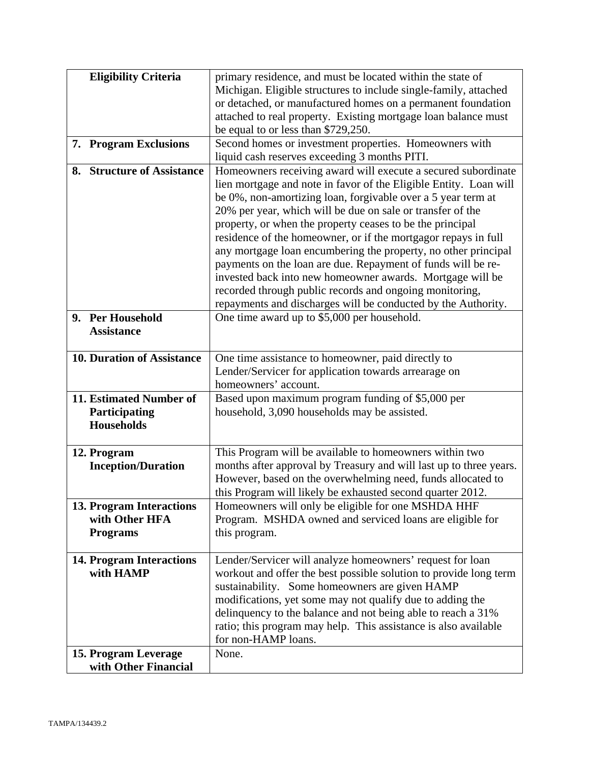| <b>Eligibility Criteria</b>       | primary residence, and must be located within the state of         |
|-----------------------------------|--------------------------------------------------------------------|
|                                   | Michigan. Eligible structures to include single-family, attached   |
|                                   | or detached, or manufactured homes on a permanent foundation       |
|                                   | attached to real property. Existing mortgage loan balance must     |
|                                   | be equal to or less than \$729,250.                                |
| 7. Program Exclusions             | Second homes or investment properties. Homeowners with             |
|                                   | liquid cash reserves exceeding 3 months PITI.                      |
| 8. Structure of Assistance        | Homeowners receiving award will execute a secured subordinate      |
|                                   | lien mortgage and note in favor of the Eligible Entity. Loan will  |
|                                   | be 0%, non-amortizing loan, forgivable over a 5 year term at       |
|                                   | 20% per year, which will be due on sale or transfer of the         |
|                                   | property, or when the property ceases to be the principal          |
|                                   | residence of the homeowner, or if the mortgagor repays in full     |
|                                   | any mortgage loan encumbering the property, no other principal     |
|                                   | payments on the loan are due. Repayment of funds will be re-       |
|                                   | invested back into new homeowner awards. Mortgage will be          |
|                                   | recorded through public records and ongoing monitoring,            |
|                                   | repayments and discharges will be conducted by the Authority.      |
| 9. Per Household                  | One time award up to \$5,000 per household.                        |
| <b>Assistance</b>                 |                                                                    |
|                                   |                                                                    |
| <b>10. Duration of Assistance</b> | One time assistance to homeowner, paid directly to                 |
|                                   | Lender/Servicer for application towards arrearage on               |
|                                   | homeowners' account.                                               |
| 11. Estimated Number of           | Based upon maximum program funding of \$5,000 per                  |
| Participating                     | household, 3,090 households may be assisted.                       |
| <b>Households</b>                 |                                                                    |
|                                   |                                                                    |
| 12. Program                       | This Program will be available to homeowners within two            |
| <b>Inception/Duration</b>         | months after approval by Treasury and will last up to three years. |
|                                   | However, based on the overwhelming need, funds allocated to        |
|                                   | this Program will likely be exhausted second quarter 2012.         |
| 13. Program Interactions          | Homeowners will only be eligible for one MSHDA HHF                 |
| with Other HFA                    | Program. MSHDA owned and serviced loans are eligible for           |
| <b>Programs</b>                   | this program.                                                      |
|                                   |                                                                    |
| <b>14. Program Interactions</b>   | Lender/Servicer will analyze homeowners' request for loan          |
| with HAMP                         | workout and offer the best possible solution to provide long term  |
|                                   | sustainability. Some homeowners are given HAMP                     |
|                                   | modifications, yet some may not qualify due to adding the          |
|                                   | delinquency to the balance and not being able to reach a 31%       |
|                                   | ratio; this program may help. This assistance is also available    |
|                                   | for non-HAMP loans.                                                |
| 15. Program Leverage              | None.                                                              |
| with Other Financial              |                                                                    |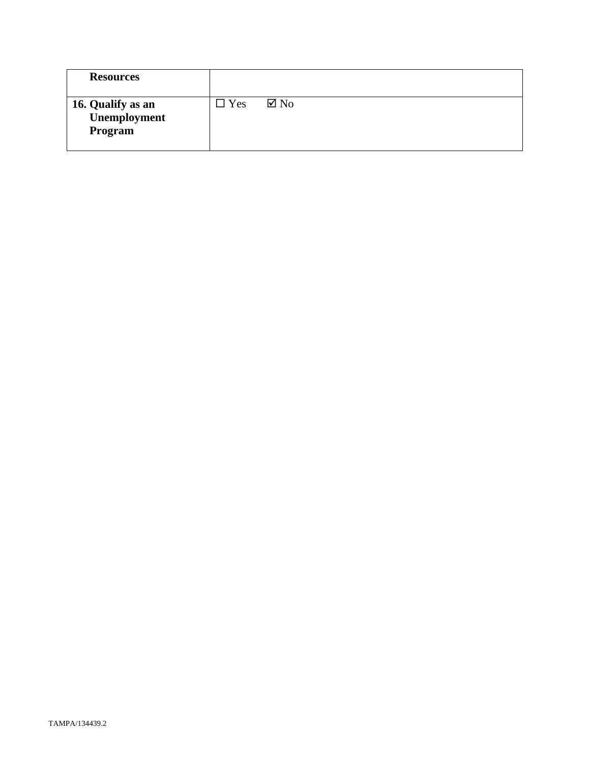| <b>Resources</b>                             |            |                |
|----------------------------------------------|------------|----------------|
| 16. Qualify as an<br>Unemployment<br>Program | $\Box$ Yes | $\boxtimes$ No |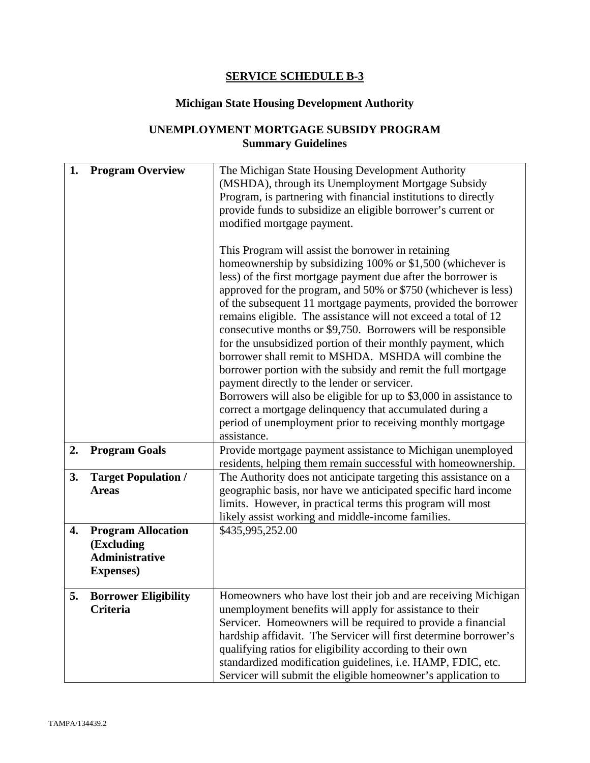## **SERVICE SCHEDULE B-3**

## **Michigan State Housing Development Authority**

## **UNEMPLOYMENT MORTGAGE SUBSIDY PROGRAM Summary Guidelines**

| 1. | <b>Program Overview</b>                    | The Michigan State Housing Development Authority<br>(MSHDA), through its Unemployment Mortgage Subsidy                             |
|----|--------------------------------------------|------------------------------------------------------------------------------------------------------------------------------------|
|    |                                            | Program, is partnering with financial institutions to directly                                                                     |
|    |                                            | provide funds to subsidize an eligible borrower's current or                                                                       |
|    |                                            | modified mortgage payment.                                                                                                         |
|    |                                            |                                                                                                                                    |
|    |                                            | This Program will assist the borrower in retaining<br>homeownership by subsidizing 100% or \$1,500 (whichever is                   |
|    |                                            | less) of the first mortgage payment due after the borrower is                                                                      |
|    |                                            | approved for the program, and 50% or \$750 (whichever is less)                                                                     |
|    |                                            | of the subsequent 11 mortgage payments, provided the borrower                                                                      |
|    |                                            | remains eligible. The assistance will not exceed a total of 12                                                                     |
|    |                                            | consecutive months or \$9,750. Borrowers will be responsible                                                                       |
|    |                                            | for the unsubsidized portion of their monthly payment, which                                                                       |
|    |                                            | borrower shall remit to MSHDA. MSHDA will combine the<br>borrower portion with the subsidy and remit the full mortgage             |
|    |                                            | payment directly to the lender or servicer.                                                                                        |
|    |                                            | Borrowers will also be eligible for up to \$3,000 in assistance to                                                                 |
|    |                                            | correct a mortgage delinquency that accumulated during a                                                                           |
|    |                                            | period of unemployment prior to receiving monthly mortgage                                                                         |
|    |                                            | assistance.                                                                                                                        |
| 2. | <b>Program Goals</b>                       | Provide mortgage payment assistance to Michigan unemployed                                                                         |
|    |                                            | residents, helping them remain successful with homeownership.                                                                      |
| 3. | <b>Target Population /</b><br><b>Areas</b> | The Authority does not anticipate targeting this assistance on a<br>geographic basis, nor have we anticipated specific hard income |
|    |                                            | limits. However, in practical terms this program will most                                                                         |
|    |                                            | likely assist working and middle-income families.                                                                                  |
| 4. | <b>Program Allocation</b>                  | \$435,995,252.00                                                                                                                   |
|    | (Excluding                                 |                                                                                                                                    |
|    | <b>Administrative</b>                      |                                                                                                                                    |
|    | <b>Expenses</b> )                          |                                                                                                                                    |
| 5. | <b>Borrower Eligibility</b>                | Homeowners who have lost their job and are receiving Michigan                                                                      |
|    | Criteria                                   | unemployment benefits will apply for assistance to their                                                                           |
|    |                                            | Servicer. Homeowners will be required to provide a financial                                                                       |
|    |                                            | hardship affidavit. The Servicer will first determine borrower's                                                                   |
|    |                                            | qualifying ratios for eligibility according to their own                                                                           |
|    |                                            | standardized modification guidelines, i.e. HAMP, FDIC, etc.                                                                        |
|    |                                            | Servicer will submit the eligible homeowner's application to                                                                       |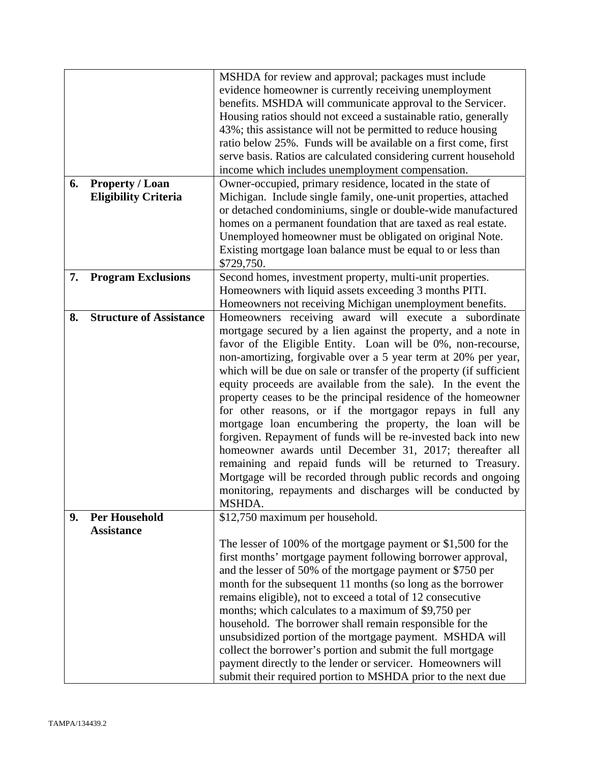|    |                                | MSHDA for review and approval; packages must include                 |
|----|--------------------------------|----------------------------------------------------------------------|
|    |                                | evidence homeowner is currently receiving unemployment               |
|    |                                | benefits. MSHDA will communicate approval to the Servicer.           |
|    |                                | Housing ratios should not exceed a sustainable ratio, generally      |
|    |                                | 43%; this assistance will not be permitted to reduce housing         |
|    |                                | ratio below 25%. Funds will be available on a first come, first      |
|    |                                | serve basis. Ratios are calculated considering current household     |
|    |                                | income which includes unemployment compensation.                     |
| 6. | <b>Property / Loan</b>         | Owner-occupied, primary residence, located in the state of           |
|    | <b>Eligibility Criteria</b>    | Michigan. Include single family, one-unit properties, attached       |
|    |                                | or detached condominiums, single or double-wide manufactured         |
|    |                                | homes on a permanent foundation that are taxed as real estate.       |
|    |                                | Unemployed homeowner must be obligated on original Note.             |
|    |                                | Existing mortgage loan balance must be equal to or less than         |
|    |                                | \$729,750.                                                           |
| 7. | <b>Program Exclusions</b>      | Second homes, investment property, multi-unit properties.            |
|    |                                | Homeowners with liquid assets exceeding 3 months PITI.               |
|    |                                | Homeowners not receiving Michigan unemployment benefits.             |
| 8. | <b>Structure of Assistance</b> | Homeowners receiving award will execute a subordinate                |
|    |                                | mortgage secured by a lien against the property, and a note in       |
|    |                                | favor of the Eligible Entity. Loan will be 0%, non-recourse,         |
|    |                                | non-amortizing, forgivable over a 5 year term at 20% per year,       |
|    |                                | which will be due on sale or transfer of the property (if sufficient |
|    |                                |                                                                      |
|    |                                | equity proceeds are available from the sale). In the event the       |
|    |                                | property ceases to be the principal residence of the homeowner       |
|    |                                | for other reasons, or if the mortgagor repays in full any            |
|    |                                | mortgage loan encumbering the property, the loan will be             |
|    |                                | forgiven. Repayment of funds will be re-invested back into new       |
|    |                                | homeowner awards until December 31, 2017; thereafter all             |
|    |                                | remaining and repaid funds will be returned to Treasury.             |
|    |                                | Mortgage will be recorded through public records and ongoing         |
|    |                                | monitoring, repayments and discharges will be conducted by           |
|    |                                | MSHDA.                                                               |
| 9. | <b>Per Household</b>           | \$12,750 maximum per household.                                      |
|    | <b>Assistance</b>              |                                                                      |
|    |                                | The lesser of 100% of the mortgage payment or \$1,500 for the        |
|    |                                | first months' mortgage payment following borrower approval,          |
|    |                                | and the lesser of 50% of the mortgage payment or \$750 per           |
|    |                                | month for the subsequent 11 months (so long as the borrower          |
|    |                                | remains eligible), not to exceed a total of 12 consecutive           |
|    |                                | months; which calculates to a maximum of \$9,750 per                 |
|    |                                | household. The borrower shall remain responsible for the             |
|    |                                | unsubsidized portion of the mortgage payment. MSHDA will             |
|    |                                | collect the borrower's portion and submit the full mortgage          |
|    |                                | payment directly to the lender or servicer. Homeowners will          |
|    |                                | submit their required portion to MSHDA prior to the next due         |